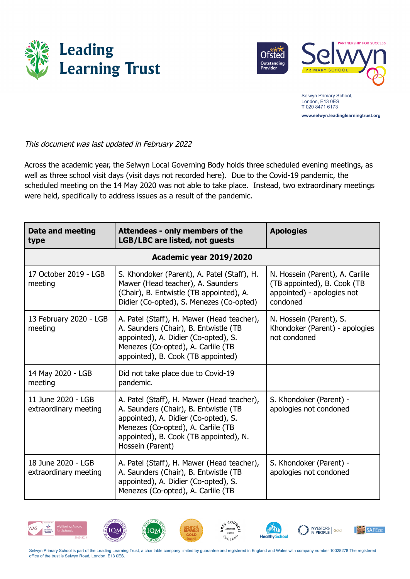



Selwyn Primary School, London, E13 0ES **T** 020 8471 6173 **www.selwyn.leadinglearningtrust.org**

This document was last updated in February 2022

Across the academic year, the Selwyn Local Governing Body holds three scheduled evening meetings, as well as three school visit days (visit days not recorded here). Due to the Covid-19 pandemic, the scheduled meeting on the 14 May 2020 was not able to take place. Instead, two extraordinary meetings were held, specifically to address issues as a result of the pandemic.

| <b>Date and meeting</b><br>type             | Attendees - only members of the<br><b>LGB/LBC are listed, not guests</b>                                                                                                                                                        | <b>Apologies</b>                                                                                         |  |
|---------------------------------------------|---------------------------------------------------------------------------------------------------------------------------------------------------------------------------------------------------------------------------------|----------------------------------------------------------------------------------------------------------|--|
| <b>Academic year 2019/2020</b>              |                                                                                                                                                                                                                                 |                                                                                                          |  |
| 17 October 2019 - LGB<br>meeting            | S. Khondoker (Parent), A. Patel (Staff), H.<br>Mawer (Head teacher), A. Saunders<br>(Chair), B. Entwistle (TB appointed), A.<br>Didier (Co-opted), S. Menezes (Co-opted)                                                        | N. Hossein (Parent), A. Carlile<br>(TB appointed), B. Cook (TB<br>appointed) - apologies not<br>condoned |  |
| 13 February 2020 - LGB<br>meeting           | A. Patel (Staff), H. Mawer (Head teacher),<br>A. Saunders (Chair), B. Entwistle (TB<br>appointed), A. Didier (Co-opted), S.<br>Menezes (Co-opted), A. Carlile (TB<br>appointed), B. Cook (TB appointed)                         | N. Hossein (Parent), S.<br>Khondoker (Parent) - apologies<br>not condoned                                |  |
| 14 May 2020 - LGB<br>meeting                | Did not take place due to Covid-19<br>pandemic.                                                                                                                                                                                 |                                                                                                          |  |
| 11 June 2020 - LGB<br>extraordinary meeting | A. Patel (Staff), H. Mawer (Head teacher),<br>A. Saunders (Chair), B. Entwistle (TB<br>appointed), A. Didier (Co-opted), S.<br>Menezes (Co-opted), A. Carlile (TB<br>appointed), B. Cook (TB appointed), N.<br>Hossein (Parent) | S. Khondoker (Parent) -<br>apologies not condoned                                                        |  |
| 18 June 2020 - LGB<br>extraordinary meeting | A. Patel (Staff), H. Mawer (Head teacher),<br>A. Saunders (Chair), B. Entwistle (TB<br>appointed), A. Didier (Co-opted), S.<br>Menezes (Co-opted), A. Carlile (TB                                                               | S. Khondoker (Parent) -<br>apologies not condoned                                                        |  |